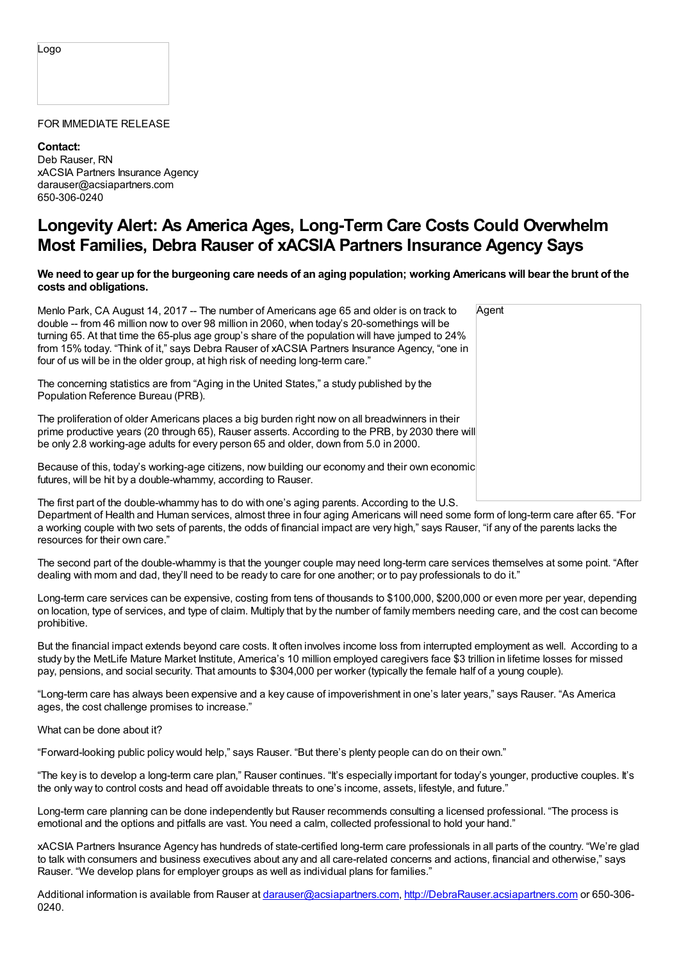## Logo

## FOR IMMEDIATE RELEASE

**Contact:** Deb Rauser, RN xACSIA Partners Insurance Agency darauser@acsiapartners.com 650-306-0240

## **Longevity Alert: As America Ages, Long-Term Care Costs Could Overwhelm Most Families, Debra Rauser of xACSIA Partners Insurance Agency Says**

## We need to gear up for the burgeoning care needs of an aging population; working Americans will bear the brunt of the **costs and obligations.**

| Menlo Park, CA August 14, 2017 -- The number of Americans age 65 and older is on track to<br>double -- from 46 million now to over 98 million in 2060, when today's 20-somethings will be<br>turning 65. At that time the 65-plus age group's share of the population will have jumped to 24%<br>from 15% today. "Think of it," says Debra Rauser of xACSIA Partners Insurance Agency, "one in<br>four of us will be in the older group, at high risk of needing long-term care." | Agent |
|-----------------------------------------------------------------------------------------------------------------------------------------------------------------------------------------------------------------------------------------------------------------------------------------------------------------------------------------------------------------------------------------------------------------------------------------------------------------------------------|-------|
| The concerning statistics are from "Aging in the United States," a study published by the<br>Population Reference Bureau (PRB).                                                                                                                                                                                                                                                                                                                                                   |       |
| The proliferation of older Americans places a big burden right now on all breadwinners in their<br>prime productive years (20 through 65), Rauser asserts. According to the PRB, by 2030 there will<br>be only 2.8 working-age adults for every person 65 and older, down from 5.0 in 2000.                                                                                                                                                                                       |       |
| Because of this, today's working-age citizens, now building our economy and their own economic<br>futures, will be hit by a double-whammy, according to Rauser.                                                                                                                                                                                                                                                                                                                   |       |
| The first part of the double-whammy has to do with one's aging parents. According to the LLS                                                                                                                                                                                                                                                                                                                                                                                      |       |

The first part of the double-whammy has to do with one's aging parents. According to the U.S. Department of Health and Human services, almost three in four aging Americans will need some form of long-term care after 65. "For a working couple with two sets of parents, the odds of financial impact are very high," says Rauser, "if any of the parents lacks the resources for their own care."

The second part of the double-whammy is that the younger couple may need long-term care services themselves at some point. "After dealing with mom and dad, they'll need to be ready to care for one another; or to pay professionals to do it."

Long-term care services can be expensive, costing from tens of thousands to \$100,000, \$200,000 or even more per year, depending on location, type of services, and type of claim. Multiply that by the number of family members needing care, and the cost can become prohibitive.

But the financial impact extends beyond care costs. It often involves income loss from interrupted employment as well. According to a study by the MetLife Mature Market Institute, America's 10 million employed caregivers face \$3 trillion in lifetime losses for missed pay, pensions, and social security. That amounts to \$304,000 per worker (typically the female half of a young couple).

"Long-term care has always been expensive and a key cause of impoverishment in one's later years," says Rauser. "As America ages, the cost challenge promises to increase."

What can be done about it?

"Forward-looking public policy would help," says Rauser. "But there's plenty people can do on their own."

"The key is to develop a long-term care plan," Rauser continues. "It's especially important for today's younger, productive couples. It's the only way to control costs and head off avoidable threats to one's income, assets, lifestyle, and future."

Long-term care planning can be done independently but Rauser recommends consulting a licensed professional. "The process is emotional and the options and pitfalls are vast. You need a calm, collected professional to hold your hand."

xACSIA Partners Insurance Agency has hundreds of state-certified long-term care professionals in all parts of the country. "We're glad to talk with consumers and business executives about any and all care-related concerns and actions, financial and otherwise," says Rauser. "We develop plans for employer groups as well as individual plans for families."

Additional information is available from Rauser at [darauser@acsiapartners.com](mailto:darauser@acsiapartners.com), [http://DebraRauser.acsiapartners.com](http://debrarauser.acsiapartners.com) or 650-306-0240.